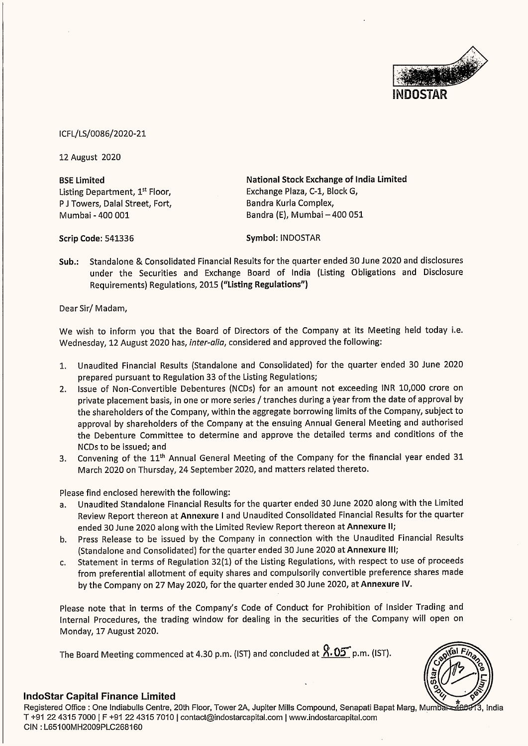

ICFL/LS/0086/2020-21

12 August 2020

Listing Department, 1<sup>st</sup> Floor, Exchange Plaza, C-1, Block G, P J Towers, Dalal Street, Fort, Bandra Kurla Complex, Mumbai - 400 001 Bandra (E), Mumbai — 400 051

BSE Limited National Stock Exchange of India Limited

Scrip Code: 541336 Symbol: INDOSTAR

Sub.: Standalone & Consolidated Financial Results for the quarter ended 30 June 2020 and disclosures under the Securities and Exchange Board of India (Listing Obligations and Disclosure Requirements) Regulations, 2015 ("Listing Regulations")

Dear Sir/ Madam,

We wish to inform you that the Board of Directors of the Company at its Meeting held today i.e. Wednesday, 12 August 2020 has, inter-alia, considered and approved the following:

- 1. Unaudited Financial Results (Standalone and Consolidated) for the quarter ended 30 June 2020 prepared pursuant to Regulation 33 of the Listing Regulations;
- 2. Issue of Non-Convertible Debentures (NCDs) for an amount not exceeding INR 10,000 crore on private placement basis, in one or more series / tranches during a year from the date of approval by the shareholders of the Company, within the aggregate borrowing limits of the Company, subject to approval by shareholders of the Company at the ensuing Annual General Meeting and authorised the Debenture Committee to determine and approve the detailed terms and conditions of the NCDs to be issued; and
- 3. Convening of the 11" Annual General Meeting of the Company for the financial year ended 31 March 2020 on Thursday, 24 September 2020, and matters related thereto.

Please find enclosed herewith the following:

- a. Unaudited Standalone Financial Results for the quarter ended 30 June 2020 along with the Limited Review Report thereon at Annexure I and Unaudited Consolidated Financial Results for the quarter ended 30 June 2020 along with the Limited Review Report thereon at Annexure II;
- b. Press Release to be issued by the Company in connection with the Unaudited Financial Results (Standalone and Consolidated) for the quarter ended 30 June 2020 at Annexure III;
- c. Statement in terms of Regulation 32(1) of the Listing Regulations, with respect to use of proceeds from preferential allotment of equity shares and compulsorily convertible preference shares made by the Company on 27 May 2020, for the quarter ended 30 June 2020, at Annexure IV.

Please note that in terms of the Company's Code of Conduct for Prohibition of Insider Trading and Internal Procedures, the trading window for dealing in the securities of the Company will open on Monday, 17 August 2020.

The Board Meeting commenced at 4.30 p.m. (IST) and concluded at  $X\cdot 05$  p.m. (IST).



### IndoStar Capital Finance Limited

and the contract of the contract of the contract of the contract of the contract of the contract of the contract of the contract of the contract of the contract of the contract of the contract of the contract of the contra

The Board Meeting commenced at 4.30 p.m. (IST) and concluded at  $\frac{\sqrt{2.05}}{\sqrt{2}}$  p.m. (IST).<br>IndoStar Capital Finance Limited<br>Registered Office : One Indiabulls Centre, 20th Floor, Tower 2A, Jupiter Mills Compound, Senapa 13. India T +91 22 4315 7000 | F +91 22 4315 7010 | contact@indostarcapital.com | www.indostarcapital.com CIN :L65700MH2009PLC268160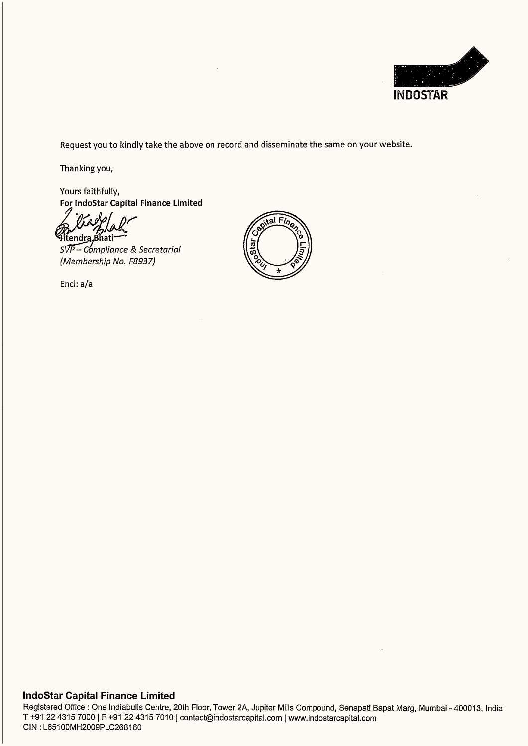

Request you to kindly take the above on record and disseminate the same on your website.

Thanking you,

Yours faithfully, For IndoStar Capital Finance Limited

Fitendra Bhati<br>SVP – Compliance & Secretarial {Membership No. F8937)

Encl: a/a



### IndoStar Capital Finance Limited

the contract of the contract of the contract of the contract of the contract of the contract of the contract of

 Registered Office : One Indiabulls Centre, 20th Floor, Tower 2A, Jupiter Mills Compound, Senapati Bapat Marg, Mumbai - 400013, India T +91 22 4315 7000 | F +91 22 4315 7010 | contact@indostarcapital.com | www. indostarcapital.com CIN : L65100MH2009PLC268160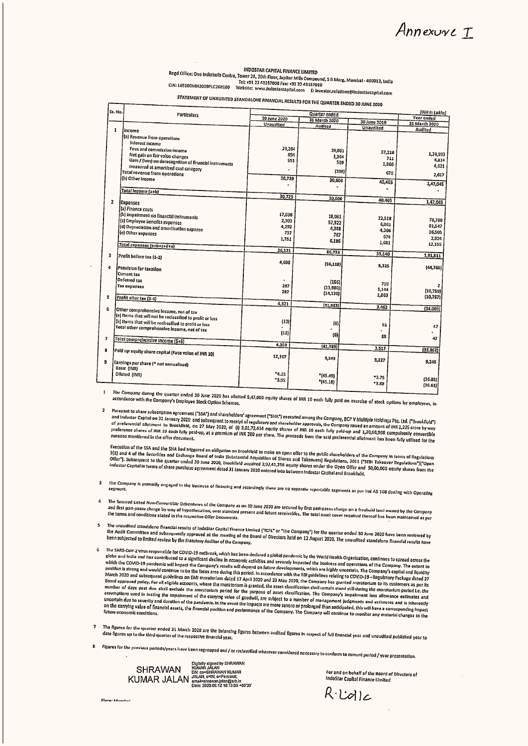Annexuve <u>T</u>

|                              |                                                                                                                                                                    |                                                                            |                                |                       | Annexure $\mathcal I$        |
|------------------------------|--------------------------------------------------------------------------------------------------------------------------------------------------------------------|----------------------------------------------------------------------------|--------------------------------|-----------------------|------------------------------|
|                              |                                                                                                                                                                    |                                                                            |                                |                       |                              |
|                              |                                                                                                                                                                    | INDOSTAR CAPITAL FINANCE LIMITED                                           |                                |                       |                              |
|                              | Regd Office: One Indiabulls Centre, Tower 2A, 20th Floor, Jupitar Mills Compound, S B Marg, Mumbal - 400013, India<br>CIN: L65100MH2009PLC268160                   | Tel: +91 22 43157000 Fax: +91 22 43157010                                  |                                |                       |                              |
|                              | STATEMENT OF UNAUDITED STANDALONE FINANCIAL RESULTS FOR THE QUARTER ENDED 30 JUNE 2020                                                                             | Website: www.indostarcapital.com E: investor.relations@indostarcapital.com |                                |                       |                              |
| Sr. No.                      | Partfculars                                                                                                                                                        | 30 June 2020                                                               | Quarter ended<br>31 March 2020 | 30 June 2019          | (INK in Lakhs)<br>Year ended |
| $\mathbf{1}$                 | Income<br>(a) Revenue from operations                                                                                                                              | <b>Unaudited</b>                                                           | <b>Audited</b>                 | <b>Unaudited</b>      | 31 March 2020<br>Audited     |
|                              | Interest income<br>Fees and commission income                                                                                                                      | 29,284<br>894                                                              | 29,061<br>1,364                | $\cdot$<br>37,218     |                              |
|                              |                                                                                                                                                                    |                                                                            |                                |                       |                              |
|                              | Net gain on fair value changes<br>Gain / (loss) on derecognition of financial instruments<br>measured at amortised cost category                                   | 551                                                                        | 519                            | 711<br>1,866          | 1,34,993<br>4,814<br>4,621   |
|                              | Total revenue from operations<br>(b) Other income                                                                                                                  | 30,729                                                                     | (338)<br>30,606<br>۰           | 670<br>40,465<br>٠    | 2,617<br>1,47,045            |
| $\mathbf{z}$                 | Total Income (a+b)<br>Expenses                                                                                                                                     | 30,729                                                                     | 30,606                         | 40,465                | 1,47,045                     |
|                              | (a) Finance costs<br>(b) impairment on financial instruments                                                                                                       | 17,038<br>2,303                                                            | 18,061                         | 22,518                | 78,780                       |
|                              | (c) Employee benefits expenses<br>(d) Depreciation and amortisation expense<br>(c) Other expenses                                                                  | 4,292<br>737                                                               | 57,322<br>4,388<br>767         | 6,061<br>4,206<br>674 | 81,547<br>16,505             |
|                              | Total expenses (a+b+c+d+e)                                                                                                                                         | 1,751<br>26,121                                                            | 6,186<br>86,724                | 1,681                 | 2,824<br>12,155              |
| $\overline{\mathbf{3}}$<br>4 | Profit before tax (1-2)<br>Provision for taxation                                                                                                                  | 4,608                                                                      | (56, 118)                      | 35,140<br>5,325       | 1,91,811<br>(44,766)         |
|                              | Current tax<br>Deferred tax<br><b>Tax expenses</b>                                                                                                                 | 287                                                                        | (156)                          | 719                   | 2                            |
|                              | Profit ofter tax (3-4)                                                                                                                                             | 287                                                                        | (13, 980)<br>(14, 136)         | 1,144<br>1,863        | (10,759)<br>(10, 757)        |
|                              | Other comprehensive income, not of tax                                                                                                                             | 4,321                                                                      | (41, 983)                      | 3,462                 | (34,009)                     |
|                              | (a) Items that will not be reclassified to profit or loss<br>(b) Items that will be reclassified to profit or loss<br>Total other comprehensive income, net of tax | (12)<br>(12)                                                               | (6)<br>$\overline{a}$<br>(6)   | 55                    | 47                           |
|                              | Total comprehensive income (5+6)                                                                                                                                   | 4,309                                                                      | (41, 989)                      | 55<br>3,517           | 47<br>(33, 962)              |
|                              | Paid up equity share capital (Face value of INR 10)<br>Earnings per share (* not onnualised)<br>Basic (INR)                                                        | 12,317                                                                     | 9,245                          | 9,227                 | 9,245                        |

1 The Company during the quarter ended 30 June 2020 has allotted<br>accordance with the Company's Employee Stock Option Schemes. 5,47,000 equity shares of INR 10 each fully pald on exercise of stock options by employeus, in

2 Pursuant to share subscription agreement ("SSA") and shareholders' agreement ("SHA") executed among the Company, BCP V Multiple Holdings Ptc. Ltd. ("Brookfield")<br>and Indostar Capital on 31 January 2020 and subsequent to re

Execution of the SSA and the SHA had triggored an obligation on Brookfield to make an open offer to the public shareholders of the Company in terms of Regulations<br>3(1) and 4 of the Securities and Exchange Board of India (S lndostar Capitat in terms of share Purchase agreement dated 31 January 2020 entered Inte between Indostar Capital and Brookfiold,

3 the Company is primarily engaged in the business of financing and accordingly there are no separate reportable segments as per ind AS 108 dealing with Operating

The Secured Listed Non-Convertible Debentures of the Company as on 30 june 2020 are secured by first pari-passu charge on a freehold land owned by the Company<br>and first pari-passu charge by way of hypothecation, over stand

- The unaudited standalone financial results of indoStar Capital Finance Limited ("ICTL" or "the Company") for the quarter ended 30 June 2020 have been reviewed by<br>the Audit Committee and subsequently approved at the meeting the unavariou subvection intenser results of induster centeries connect rock of the Company. For the gameler ended of the Standalono financial results have<br>the Audit Committed and subsequently approved at the meeting of th
- The SARS-Cov-2 virus responsible for COVID-19 outbreak, which has been declared a global pandemic by the World Health Organization, continues to spread across the globa and has a contributed to a significant decline in eco March 2020 and subsequent guidelines on EMI Imarchaium dated 17 April 2020 and 32 May 2020 and subsequent guidelines on EMI Imarchaium dated 17 April 2020 and 32 May 2020 and 32 May 2020 and subsequent guidelines on EMI Im ive Offer Documents.<br>
IndoStar Capital Finance Limited ("ICT<br>
rod at the meeting of the Board of C<br>
rod at the meeting of the Board of C<br>
proprimeters, which has been declared a<br>
cant decline in economic activities and<br>
Co

7 - The figures for the quartor onded 31 March 2020 are the balancing figures between audited figures in respect of full financial year and unaudited published year to<br>date figures up to the third quartor of the respective

Figures for the previous periods/years have boen regrouped and / or reclassified wherever considered necessary to conform to current period / year presentation



 $\begin{aligned} \textbf{Planck}\\ \textbf{A} & \text{in } \mathbb{R}^2 \end{aligned}$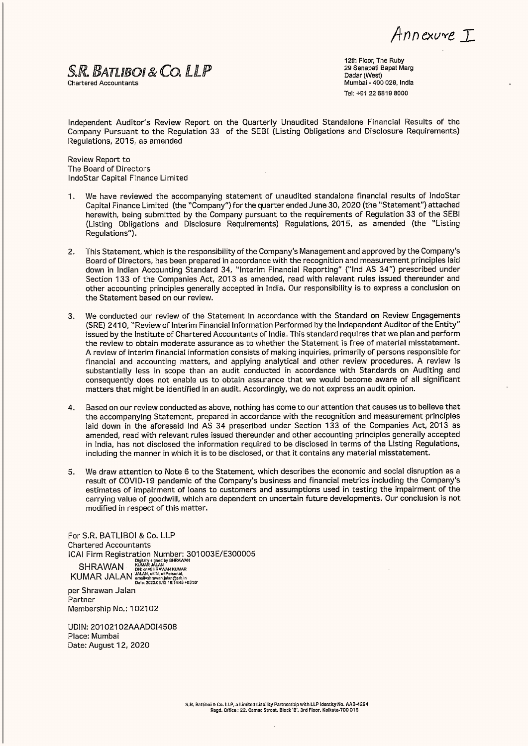Annexure T

 $S.R.$   $BATLIBOI & CO.$   $LLP$ <br>Chartered Accountants<br>Chartered Accountants **Chartered Accountants** 

Tel: +91 22 6819 8000

Independent Auditor's Review Report on the Quarterly Unaudited Standalone Financial Results of the Company Pursuant to the Regulation 33 of the SEBI (Listing Obligations and Disclosure Requirements) Regulations, 2015, as amended

Review Report to The Board of Directors IndoStar Capital Finance Limited

- 1. We have reviewed the accompanying statement of unaudited standalone financial results of IndoStar Capital Finance Limited (the "Company") for the quarter ended June 30, 2020 (the "Statement") attached herewith, being submitted by the Company pursuant to the requirements of Regulation 33 of the SEBI {Listing Obligations and Disclosure Requirements) Regulations, 2015, as amended (the "Listing Regulations").
- 2. This Statement, which is the responsibility of the Company's Management and approved by the Company's Board of Directors, has been prepared in accordance with the recognition and measurement principles laid down in Indian Accounting Standard 34, "Interim Financial Reporting" ("Ind AS 34") prescribed under Section 133 of the Companies Act, 2013 as amended, read with relevant rules issued thereunder and other accounting principles generally accepted in India. Our responsibility is to express a conclusion on the Statement based on our review.
- 3, We conducted our review of the Statement in accordance with the Standard on Review Engagements (SRE) 2410, "Review of Interim Financial Information Performed by the Independent Auditor of the Entity" issued by the Institute of Chartered Accountants of India. This standard requires that we plan and perform the review to obtain moderate assurance as to whether the Statement is free of material misstatement. A review of interim financial information consists of making inquiries, primarily of persons responsible for financial and accounting matters, and applying analytical and other review procedures. A review is substantially less in scope than an audit conducted in accordance with Standards on Auditing and consequently does not enable us to obtain assurance that we would become aware of all significant matters that might be identified in an audit. Accordingly, we do not express an audit opinion.
- 4. Based on our review conducted as above, nothing has come to our attention that causes us to believe that the accompanying Statement, prepared in accordance with the recognition and measurement principles laid down in the aforesaid Ind AS 34 prescribed under Section 133 of the Companies Act, 2013 as amended, read with relevant rules issued thereunder and other accounting principles generally accepted in India, has not disclosed the information required to be disclosed in terms of the Listing Regulations, including the manner in which it is to be disclosed, or that it contains any material misstatement.
- 5. We draw attention to Note 6 to the Statement, which describes the economic and social disruption as a result of COVID-19 pandemic of the Company's business and financial metrics including the Company's estimates of impairment of loans to customers and assumptions used in testing the impairment of the carrying value of goodwill, which are dependent on uncertain future developments. Our conclusion is not modified in respect of this matter.

For S.R. BATLIBOI & Co. LLP Chartered Accountants ICAI Firm Registration Number: 301003E/E300005<br>
SHRAWAN ERION: CONSIGNATION<br>
KUMAR JALAN <sup>BUAR</sup> GEIRAWAN KUMAR<br>KUMAR JALAN <sup>MALAN</sup> omat 2020.08.12 18:34:45 +05'30"<br>
Date: 2020.08.12 18:34:45 +05'30"

per Shrawan Jalan **Partner** Membership No.: 102102

and the contract of the contract of the contract of the contract of the contract of the contract of the contract of the contract of the contract of the contract of the contract of the contract of the contract of the contra

UDIN: 20102102AAADOI4508 Place: Mumbai Date: August 12, 2020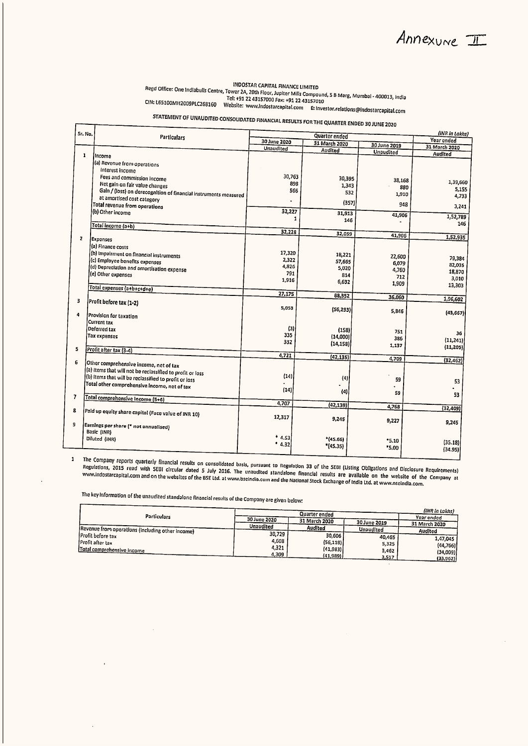Annexure II

п.

|              |                                                                                                                                                                                                                                                                                                              |                                                                                                                                                                    |                                           |                                  | Annexure:                                                       |
|--------------|--------------------------------------------------------------------------------------------------------------------------------------------------------------------------------------------------------------------------------------------------------------------------------------------------------------|--------------------------------------------------------------------------------------------------------------------------------------------------------------------|-------------------------------------------|----------------------------------|-----------------------------------------------------------------|
|              |                                                                                                                                                                                                                                                                                                              |                                                                                                                                                                    |                                           |                                  |                                                                 |
|              | Regd Office: One Indiabulls Centre, Tower 2A, 20th Floor, Jupiter Mills Compound, S B Marg, Mumbai - 400013, India<br>CIN: L65100MH2009PLC268160<br>STATEMENT OF UNAUDITED CONSOLIDATED FINANCIAL RESULTS FOR THE QUARTER ENDED 30 JUNE 2020                                                                 | <b>INDOSTAR CAPITAL FINANCE LIMITED</b><br>Tel: +91 22 43157000 Fax: +91 22 43157010<br>Website: www.indostarcapital.com E: investor.relations@indostarcapital.com |                                           |                                  |                                                                 |
|              | Sr. No.<br>Particulars                                                                                                                                                                                                                                                                                       |                                                                                                                                                                    | Quarter ended                             |                                  | (INR in Lakhs)<br>Year ended                                    |
|              | ı<br>Income                                                                                                                                                                                                                                                                                                  | 30 June 2020<br><b>Unaudited</b>                                                                                                                                   | 31 March 2020<br>Audited                  | 30 June 2019<br><b>Unaudited</b> | 31 March 2020<br>Audited                                        |
|              | (a) Revenue from operations<br>Interest income                                                                                                                                                                                                                                                               |                                                                                                                                                                    |                                           |                                  |                                                                 |
|              | Fees and commission Income<br>Net gain on fair value changes                                                                                                                                                                                                                                                 | 30,763<br>898                                                                                                                                                      | 30,395<br>1,343                           | 38,168<br>880                    | 1,39,660                                                        |
|              | Gain / (loss) on derecognition of financial instruments measured<br>at amortised cost category                                                                                                                                                                                                               | 566                                                                                                                                                                | 532<br>(357)                              | 1,910                            | 5,155<br>4,733                                                  |
|              | Total revenue from operations<br>(b) Other income                                                                                                                                                                                                                                                            | 32,227                                                                                                                                                             | 31,913                                    | 948<br>41,906                    | 3,241<br>1,52,789                                               |
|              | Total income (a+b)                                                                                                                                                                                                                                                                                           | 1<br>32,228                                                                                                                                                        | 146                                       |                                  | 146                                                             |
|              | $\overline{z}$<br>Expenses<br>(a) Finance costs                                                                                                                                                                                                                                                              |                                                                                                                                                                    | 32,059                                    | 41,906                           | 1,52,935                                                        |
|              | (b) Impairment on financial instruments<br>(c) Employee benefits expenses                                                                                                                                                                                                                                    | 17,320<br>2,322                                                                                                                                                    | 18,221<br>57,665                          | 22,600<br>6,079                  | 79,384                                                          |
|              | (d) Depreclation and amortisation expense<br>(e) Other expenses                                                                                                                                                                                                                                              | 4,826<br>791                                                                                                                                                       | 5,020<br>814                              | 4,760<br>712                     | 82,035<br>18,870                                                |
|              | Total expenses (a+b+c+d+e)                                                                                                                                                                                                                                                                                   | 1,916                                                                                                                                                              | 6,632                                     | 1,909                            | 3,010<br>13,303                                                 |
|              | з<br>Profit before tax (1-2)                                                                                                                                                                                                                                                                                 | 27,175<br>5,053                                                                                                                                                    | 88,352                                    | 36,060                           | 1,96,602                                                        |
|              | Provision for taxation<br>Current tax                                                                                                                                                                                                                                                                        |                                                                                                                                                                    | (56, 293)                                 | 5,846                            | (43, 667)                                                       |
| 4            | Deferred tax                                                                                                                                                                                                                                                                                                 | (3)                                                                                                                                                                | (158)<br>(14,000)                         | 751<br>386                       | 36                                                              |
|              | Tax expenses                                                                                                                                                                                                                                                                                                 | 335                                                                                                                                                                |                                           |                                  | (11, 241)                                                       |
| 5            | Profit after tax (3-4)                                                                                                                                                                                                                                                                                       | 332                                                                                                                                                                | (14, 158)                                 | 1,137                            | (11, 205)                                                       |
| 6            | Other comprehensive income, net of tax                                                                                                                                                                                                                                                                       | 4,721                                                                                                                                                              | (42, 135)                                 | 4,709                            | (32, 462)                                                       |
|              | (a) items that will not be reclassified to profit or loss<br>(b) Items that will be reclassified to profit or loss                                                                                                                                                                                           | (14)                                                                                                                                                               | $\left( 4\right)$                         | 59                               | 53                                                              |
| 7            | Total other comprehensive income, net of tax                                                                                                                                                                                                                                                                 | (14)                                                                                                                                                               | $\left( 4\right)$                         | 59                               | 53                                                              |
| 8            | Total comprehensive income (5+6)                                                                                                                                                                                                                                                                             | 4,707                                                                                                                                                              | (42, 139)                                 | 4,768                            | (32, 409)                                                       |
| 9            | $\mathsf{\mathsf{[Paid up equity share capital} (Face value of INR 10)}$                                                                                                                                                                                                                                     | 12,317                                                                                                                                                             | 9,245                                     | 9,227                            | 9,245                                                           |
|              | Earnings per share (* not annualised)<br>Basic (INR)<br>Diluted (INR)                                                                                                                                                                                                                                        | $*4.53$                                                                                                                                                            | $*(45.66)$                                | $*5.10$                          | (35.18)                                                         |
| $\mathbf{1}$ | The Company reports quarterly financial results on consolidated basis, pursuant to Regulation 33 of the SEBI (Listing Obligations and Disclosure Requirements)                                                                                                                                               | $* 4.32$                                                                                                                                                           | *(45.35)                                  | *5.00                            | (34.95)                                                         |
|              | Regulations, 2015 read with SEBI circular dated 5 July 2016. The unaudited standalone financial results are available on the website of the Company at<br>www.indostarcapital.com and on the websites of the BSE Ltd. at www.bseindia.com and the National Stock Exchange of India Ltd. at www.nseindia.com. |                                                                                                                                                                    |                                           |                                  |                                                                 |
|              | The key information of the unaudited standalone financial results of the Company are given below:                                                                                                                                                                                                            |                                                                                                                                                                    |                                           |                                  |                                                                 |
|              | <b>Particulars</b><br>Revenue from operations (including other income)                                                                                                                                                                                                                                       | 30 June 2020<br>Unaudited                                                                                                                                          | Quarter ended<br>31 March 2020<br>Audited | 30 June 2019<br>Unaudited        | (INR in Lakhs)<br><b>Your ended</b><br>31 March 2020<br>Audited |

1 www.lndostarcapital.com Regulations, The Company 2015 reports rts quarterly<br>read with SI and on SEBI the financial circular websites results dated of the on 5 BSE consolidated<br>July 2016. ly 2016.<br>Ltd. at w dated basis, pursuant<br>016. The unaudited<br>at.www.bscindia.com s, pursuant<br>unaudited standalone and to Regulation Regulation 33 of<br>dalone financial<br>the National Stoc results the SEB! are (Listing sting Obligations<br>available on the gations and<br>on the we website Disclosure osure Requirements)<br>of the Company at old Tesons are available on the website of the Company at<br>Stock Exchange of India Ltd. at www.nseindia.com. **Contract Contract** 

|                                                  |              |                                |              | (INR in Lakhs) |
|--------------------------------------------------|--------------|--------------------------------|--------------|----------------|
| Particulars                                      | 30 June 2020 | Quarter ended<br>31 March 2020 |              | Your ended     |
|                                                  | Unaudited    |                                | 30 June 2019 | 31 March 2020  |
| Revenue from operations (including other income) | 30,729       | Audited                        | Unaudited    | Audited        |
| <b>IProfit before tax</b>                        |              | 30,606                         | 40,465       | 1,47,045       |
| Profit after tax                                 | 4,608        | (56, 118)                      | 5,325        | (44,766)       |
| Total comprehensive Income                       | 4,321        | (41,983)                       | 3,462        | (34,009)       |
|                                                  | 4,309        | (41,989)                       | 3,517        | (33, 962)      |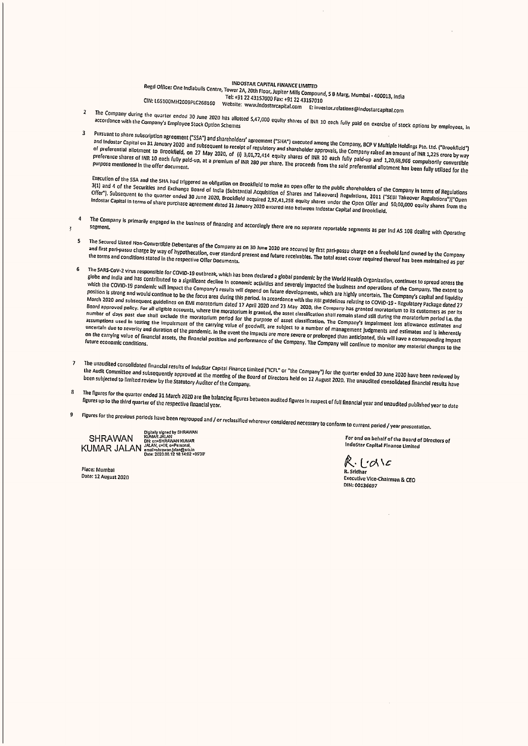INDOSTAR CAPITAL FINANCE LIMITED<br>Regd Office: One indiabulls Centre, Tower 2A, 20th Floor, Juniter Mills Centre Fower 2A,<br>Tel: +91 2 22 20th Floor, Jupiter Mills Compound, S 8 Marg, Mumbai - 400013, India Compound, 5 8 Marg, Mumbai - 400013, India<br>20th Floor, Jupiter Mills Compound, S 8 Marg, Mumbai - 400013, India<br>20th: L65100MH2009PLC268160 — Website: ww

- $\overline{2}$ The Company during the quarter ended 30 June 2020 has allotted 5,47,000 equity shares of INR 20 cach fully pald on exercise of stock options by employees, in accordance with the Company's Employee Stock Option Schemes
- Pursuant to share subscription agreement ("SSA") and shareholders' agreement ("SHA") executed among the Company, BCP V Multiple Holdings pte. tta. ("Brookfield")  $\mathbf{a}$

and tndostar Capital on 31 January 2020 and subsequent to receipt of regulatory and shareholder approvals, the Company raised an amount of INR 1,225 crore by way and tndostar Capital on 31 January 2020 and subsequent to re of preferential allotment to Brookfield, on 27 May 2020, of (i) 3,01,72,414 equity shares of INR 10 each fully pald-up and 1,20,68,966 compulsorily convertible Preference shares of INR 10 each fully paid-up, at a premium of INR 280 per share. The proceeds from the sald preferential allotment has been fully utilised for the Purpose mentioned in the offer document.

Execution of the SSA and the SHA had triggered an obligation on Brookfield to make an open offer to the public shareholders of the Company in terms of Regulations<br>3(1) and 4 of the Securities and Exchange Board of India (S offer"). Subsequent to the quarter ended 30 June 2020, Brookfield acquired 2,92,41,258 equity shares under the Open Offer and 50,00,000 equity shares from the indostar Capital in terms of share purchase agreement dated 31 January 2020 entered into between Indostar Capital and Brookfield,

- $\overline{4}$ The Company is primarily engaged in the business of financing and accordingly there are no Separate reportable segments as per Ind AS 108 dealing with Operating Segment.
- The Secured Listed Non-Convertible Debentures of the Company as on 30 June 2020 are secured by first pari-passu charge on a freehold land owned by the Company<br>and first pari-passu charge by way of hypothecation, over stand  $\overline{\mathbf{5}}$ and first pari-passu charge by way of hypothecation, over standard present and future received by first pari-passu charge on a freehold land owned by the Company<br>the terms and conditions stated in the respective Offer Docu
- The SARS-CoV-2 virus responsible for COVID-19 outbreak, which has been declared a global pandemic by the World Heaith Organization, continues to Spread across the 6 globe and india and has contributed to a significant decline in economic activities and severely impacted the business and operations of the Company. The extent to globe and india and has contributed to a significant decli which the COVID-19 pandemic will Impact the Company's results will depend on future developments, which are highly uncertain. The Company's capital and liquidity Position is strong and would continue to be the focus area during this period. tn accordance with the RBI guidelines relating to COVID-19 - Regulatory Package dated <sup>27</sup> March 2020 and subsequent guidelines on EMI moratorium dated 17 April 2020 and 23 May 2020, the Company has granted moraterium to its customers as per Its Board approved policy. For all eligible accounts, where the moratorium is granted, the asset classification shall remain stand still during the moratorium period i.e. the moratorium period i.e. the number of days past due shall exclude the moratorium period for the purpose of asset classification, The Company's impairment toss allowance estimates and flumber of days past due shan exclude the invirionium pendu not me purpose or assumedance, me company's impairment loss allowance examates and<br>Assumptions used in testing the impairment of the carrying value of goodwill, a uncertain due to severity and duration of the pandemic. In the event the impacts are more severe or prolonged than anticipated, this will have a corresponding impact on the carrying value of financial assets, the financial position and performance of the Company. The Company will continue to monitor any material changes to the<br>future economic conditions,
- The unaudited consolidated financtal results of indoStar Capital Finance timited ("ICFL" or "the Company") for the quarter ended 30 June 2020 have been reviewed by  $\overline{z}$ the Audit Committee and subsequently approved at the meeting of the Board of "ICFL" or "the Company") for the quarter ended 30 June 2020 have been reviewed by<br>been subjected to limited review by the Statutory Auditor of th
- The figures for the quarter ended 31 March 2020 are the balancing figures between audited figures in respect of full financial year and unaudited published year to date<br>figures up to the third quarter of the respective fin
- Figures for the previous periods have been regrouped and / or reclassified wherever considered necessary to conform to current period / year presentation.<br>Digitally signed by SHRAWAN<br>SHRAWAN RULARED MANARED AND AND RESERVE 9

vee

SITINAVVAIN DI CRETIRANI (C. GIN OF PERSONAIR<br>KUMAR JALAN SAAN, SHIN, oppersonsl, oppersonsl, opperation of the sanction of the same of the same of the same<br>
Date: 2020.08.12 18:44:02 +0530

Place: Mumbal R. Sridhar Place: Mumbal R. Sridhar Place: Mumbal R. Sridhar Place: Mumbal R. Sridhar

IndoStar Capital Finance Limited

Piace: Mumbal<br>Date: 12 August 2020 DIN: 00136697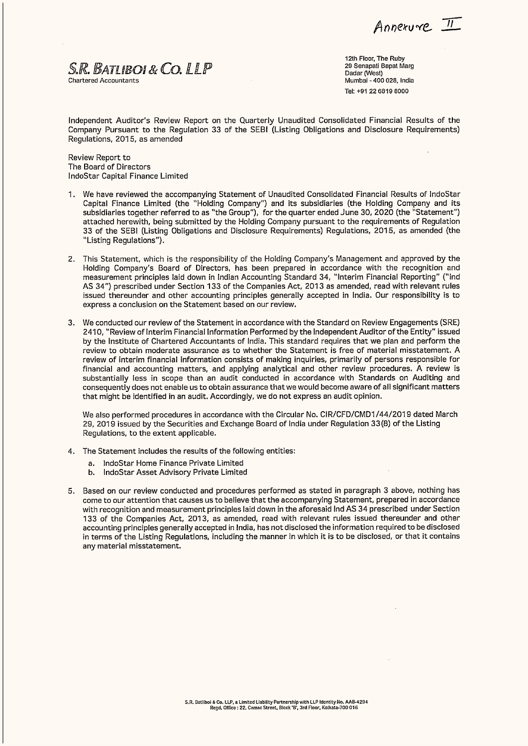Anneruve II

 $S.R.$   $BATLIBO I & CO.$   $LLP$   $S.R.$   $BATLIBO I & CO.$ 

Chartered Accountants : Mumbai - 400 028, India Tel: +91 22 6819 8000

Independent Auditor's Review Report on the Quarterly Unaudited Consolidated Financial Results of the Company Pursuant to the Regulation 33 of the SEBI (Listing Obligations and Disclosure Requirements) Regulations, 2015, as amended

Review Report to The Board of Directors IndoStar Capital Finance Limited

- 1. We have reviewed the accompanying Statement of Unaudited Consolidated Financial Results of IndoStar Capital Finance Limited (the "Holding Company") and its subsidiaries (the Holding Company and its subsidiaries together referred to as "the Group"), for the quarter ended June 30, 2020 (the "Statement") attached herewith, being submitted by the Holding Company pursuant to the requirements of Regulation 33 of the SEBI (Listing Obligations and Disclosure Requirements) Regulations, 2015, as amended (the "Listing Regulations").
- This Statement, which is the responsibility of the Holding Company's Management and approved by the Holding Company's Board of Directors, has been prepared in accordance with the recognition and measurement principles laid down in Indian Accounting Standard 34, "Interim Financial Reporting" ("Ind AS 34") prescribed under Section 133 of the Companies Act, 2013 as amended, read with relevant rules issued thereunder and other accounting principles generally accepted in India. Our responsibility is to express a conclusion on the Statement based on our review.
- We conducted our review of the Statement in accordance with the Standard on Review Engagements (SRE) 2410, "Review of Interim Financial Information Performed by the Independent Auditor of the Entity" issued by the Institute of Chartered Accountants of India. This standard requires that we plan and perform the review to obtain moderate assurance as to whether the Statement is free of material misstatement. A review of interim financial information consists of making inquiries, primarily of persons responsible for financial and accounting matters, and applying analytical and other review procedures. A review is substantially less in scope than an audit conducted in accordance with Standards on Auditing and consequently does not enable us to obtain assurance that we would become aware of all significant matters that might be identified in an audit. Accordingly, we do not express an audit opinion.

We also performed procedures in accordance with the Circular No. CIR/CFD/CMD1/44/2019 dated March 29, 2019 issued by the Securities and Exchange Board of India under Regulation 33(8) of the Listing Regulations, to the extent applicable.

- The Statement includes the results of the following entities:
	- a. IndoStar Home Finance Private Limited
	- b. IndoStar Asset Advisory Private Limited

and the contract of the contract of the contract of the contract of the contract of the contract of the contract of the contract of the contract of the contract of the contract of the contract of the contract of the contra

Based on our review conducted and procedures performed as stated in paragraph 3 above, nothing has come to our attention that causes us to believe that the accompanying Statement, prepared in accordance with recognition and measurement principles laid down in the aforesaid Ind AS 34 prescribed under Section 133 of the Companies Act, 2013, as amended, read with relevant rules issued thereunder and other accounting principles generally accepted in India, has not disclosed the information required to be disclosed in terms of the Listing Regulations, including the manner in which it is to be disclosed, or that it contains any material misstatement.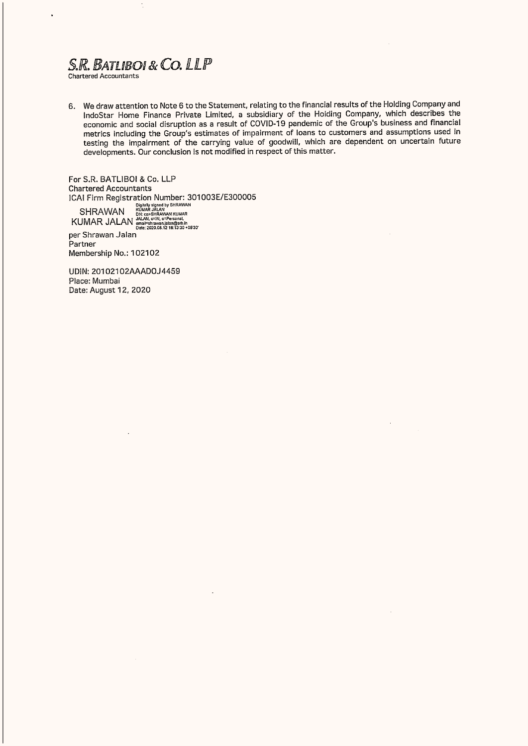# S.R. BATLIBOI & CO. LLP

Chartered Accountants

6. We draw attention to Note 6 to the Statement, relating to the financial results of the Holding Company and IndoStar Home Finance Private Limited, a subsidiary of the Holding Company, which describes the economic and social disruption as a result of COVID-19 pandemic of the Group's business and financial metrics including the Group's estimates of impairment of loans to customers and assumptions used in testing the impairment of the carrying value of goodwill, which are dependent on uncertain future developments. Our conclusion is not modified in respect of this matter.

For S.R. BATLIBO! & Co. LLP Chartered Accountants ICAI Firm Registration Number: 301003E/E300005

Digitally signed by SHRAWAN<br>SHRAWAN UN: CRESHRAWAN KUMAR KUMAR JALAN JALAN, C=IN, O=Personal,<br>Date: 2020.08.12 18:13:30 +05'30'<br>Date: 2020.08.12 18:13:30 +05'30'

per Shrawan Jalan **Partner** Membership No.: 102102

UDIN: 20102102AAADOJ4459 Place: Mumbai Date: August 12, 2020

the contract of the contract of the contract of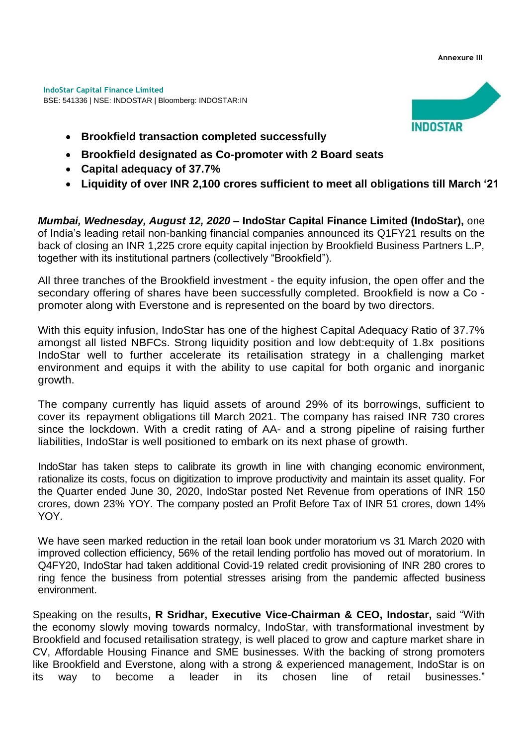**Annexure III**

**IndoStar Capital Finance Limited** BSE: 541336 | NSE: INDOSTAR | Bloomberg: INDOSTAR:IN



- **Brookfield transaction completed successfully**
- **Brookfield designated as Co-promoter with 2 Board seats**
- **Capital adequacy of 37.7%**
- **Liquidity of over INR 2,100 crores sufficient to meet all obligations till March '21**

*Mumbai, Wednesday, August 12, 2020* **– IndoStar Capital Finance Limited (IndoStar),** one of India's leading retail non-banking financial companies announced its Q1FY21 results on the back of closing an INR 1,225 crore equity capital injection by Brookfield Business Partners L.P, together with its institutional partners (collectively "Brookfield").

All three tranches of the Brookfield investment - the equity infusion, the open offer and the secondary offering of shares have been successfully completed. Brookfield is now a Co promoter along with Everstone and is represented on the board by two directors.

With this equity infusion, IndoStar has one of the highest Capital Adequacy Ratio of 37.7% amongst all listed NBFCs. Strong liquidity position and low debt:equity of 1.8x positions IndoStar well to further accelerate its retailisation strategy in a challenging market environment and equips it with the ability to use capital for both organic and inorganic growth.

The company currently has liquid assets of around 29% of its borrowings, sufficient to cover its repayment obligations till March 2021. The company has raised INR 730 crores since the lockdown. With a credit rating of AA- and a strong pipeline of raising further liabilities, IndoStar is well positioned to embark on its next phase of growth.

IndoStar has taken steps to calibrate its growth in line with changing economic environment, rationalize its costs, focus on digitization to improve productivity and maintain its asset quality. For the Quarter ended June 30, 2020, IndoStar posted Net Revenue from operations of INR 150 crores, down 23% YOY. The company posted an Profit Before Tax of INR 51 crores, down 14% YOY.

We have seen marked reduction in the retail loan book under moratorium vs 31 March 2020 with improved collection efficiency, 56% of the retail lending portfolio has moved out of moratorium. In Q4FY20, IndoStar had taken additional Covid-19 related credit provisioning of INR 280 crores to ring fence the business from potential stresses arising from the pandemic affected business environment.

Speaking on the results**, R Sridhar, Executive Vice-Chairman & CEO, Indostar,** said "With the economy slowly moving towards normalcy, IndoStar, with transformational investment by Brookfield and focused retailisation strategy, is well placed to grow and capture market share in CV, Affordable Housing Finance and SME businesses. With the backing of strong promoters like Brookfield and Everstone, along with a strong & experienced management, IndoStar is on its way to become a leader in its chosen line of retail businesses."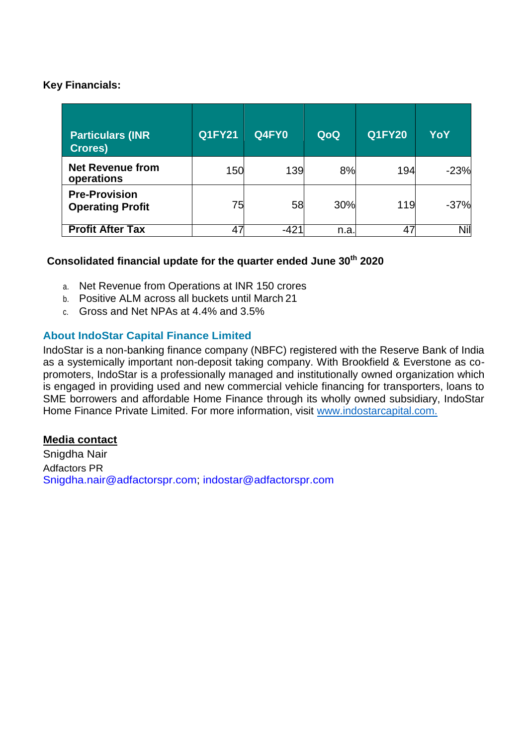# **Key Financials:**

| <b>Particulars (INR)</b><br><b>Crores)</b>      | <b>Q1FY21</b> | Q4FY0  | QoQ  | <b>Q1FY20</b> | YoY    |
|-------------------------------------------------|---------------|--------|------|---------------|--------|
| <b>Net Revenue from</b><br>operations           | 150           | 139    | 8%   | 194           | $-23%$ |
| <b>Pre-Provision</b><br><b>Operating Profit</b> | 75            | 58     | 30%  | 119           | $-37%$ |
| <b>Profit After Tax</b>                         | 47            | $-42'$ | n.a. | 47            | Nil    |

# **Consolidated financial update for the quarter ended June 30th 2020**

- a. Net Revenue from Operations at INR 150 crores
- b. Positive ALM across all buckets until March 21
- c. Gross and Net NPAs at 4.4% and 3.5%

### **About IndoStar Capital Finance Limited**

IndoStar is a non-banking finance company (NBFC) registered with the Reserve Bank of India as a systemically important non-deposit taking company. With Brookfield & Everstone as copromoters, IndoStar is a professionally managed and institutionally owned organization which is engaged in providing used and new commercial vehicle financing for transporters, loans to SME borrowers and affordable Home Finance through its wholly owned subsidiary, IndoStar Home Finance Private Limited. For more information, visit [www.indostarcapital.com.](https://ind01.safelinks.protection.outlook.com/?url=http%3A%2F%2Fwww.indostarcapital.com%2F&data=02%7C01%7Cgkulkarni%40indostarcapital.com%7Cead763b22896426425dc08d83eb68ba5%7C7a76a60c05fc4220842f162bd9c692af%7C0%7C0%7C637328301033147948&sdata=pjsel7uHdOMTVC1LwTeNqglFDHBdYPocM4qMbLBgb28%3D&reserved=0)

### **Media contact**

Snigdha Nair Adfactors PR Snigdha.nair@adfactorspr.com; [indostar@adfactorspr.com](mailto:indostar@adfactorspr.com)